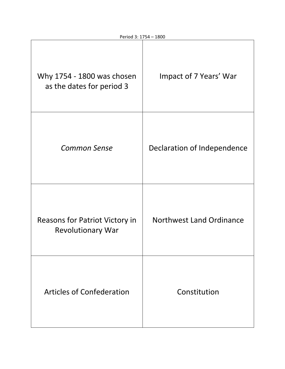| Why 1754 - 1800 was chosen<br>as the dates for period 3    | Impact of 7 Years' War      |
|------------------------------------------------------------|-----------------------------|
| <b>Common Sense</b>                                        | Declaration of Independence |
| Reasons for Patriot Victory in<br><b>Revolutionary War</b> | Northwest Land Ordinance    |
| <b>Articles of Confederation</b>                           | Constitution                |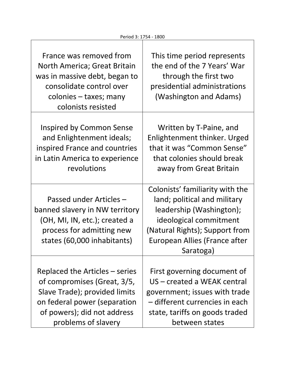| France was removed from<br>North America; Great Britain<br>was in massive debt, began to<br>consolidate control over<br>colonies – taxes; many<br>colonists resisted | This time period represents<br>the end of the 7 Years' War<br>through the first two<br>presidential administrations<br>(Washington and Adams)                                                         |
|----------------------------------------------------------------------------------------------------------------------------------------------------------------------|-------------------------------------------------------------------------------------------------------------------------------------------------------------------------------------------------------|
| Inspired by Common Sense                                                                                                                                             | Written by T-Paine, and                                                                                                                                                                               |
| and Enlightenment ideals;                                                                                                                                            | Enlightenment thinker. Urged                                                                                                                                                                          |
| inspired France and countries                                                                                                                                        | that it was "Common Sense"                                                                                                                                                                            |
| in Latin America to experience                                                                                                                                       | that colonies should break                                                                                                                                                                            |
| revolutions                                                                                                                                                          | away from Great Britain                                                                                                                                                                               |
| Passed under Articles -<br>banned slavery in NW territory<br>(OH, MI, IN, etc.); created a<br>process for admitting new<br>states (60,000 inhabitants)               | Colonists' familiarity with the<br>land; political and military<br>leadership (Washington);<br>ideological commitment<br>(Natural Rights); Support from<br>European Allies (France after<br>Saratoga) |
| Replaced the Articles – series                                                                                                                                       | First governing document of                                                                                                                                                                           |
| of compromises (Great, 3/5,                                                                                                                                          | US – created a WEAK central                                                                                                                                                                           |
| Slave Trade); provided limits                                                                                                                                        | government; issues with trade                                                                                                                                                                         |
| on federal power (separation                                                                                                                                         | – different currencies in each                                                                                                                                                                        |
| of powers); did not address                                                                                                                                          | state, tariffs on goods traded                                                                                                                                                                        |
| problems of slavery                                                                                                                                                  | between states                                                                                                                                                                                        |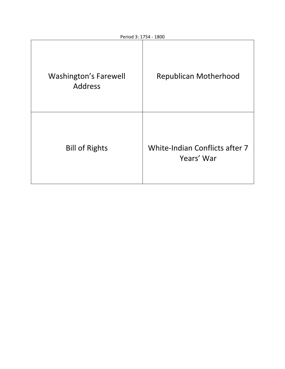| <b>Washington's Farewell</b><br><b>Address</b> | <b>Republican Motherhood</b>                 |
|------------------------------------------------|----------------------------------------------|
| <b>Bill of Rights</b>                          | White-Indian Conflicts after 7<br>Years' War |